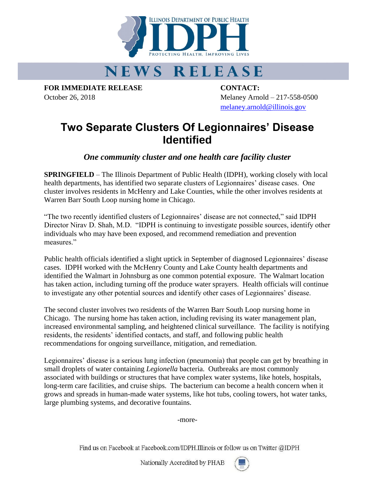

## **NEWS RELEASE**

**FOR IMMEDIATE RELEASE CONTACT:**

October 26, 2018 Melaney Arnold – 217-558-0500 [melaney.arnold@illinois.gov](mailto:melaney.arnold@illinois.gov)

## **Two Separate Clusters Of Legionnaires' Disease Identified**

*One community cluster and one health care facility cluster*

**SPRINGFIELD** – The Illinois Department of Public Health (IDPH), working closely with local health departments, has identified two separate clusters of Legionnaires' disease cases. One cluster involves residents in McHenry and Lake Counties, while the other involves residents at Warren Barr South Loop nursing home in Chicago.

"The two recently identified clusters of Legionnaires' disease are not connected," said IDPH Director Nirav D. Shah, M.D. "IDPH is continuing to investigate possible sources, identify other individuals who may have been exposed, and recommend remediation and prevention measures."

Public health officials identified a slight uptick in September of diagnosed Legionnaires' disease cases. IDPH worked with the McHenry County and Lake County health departments and identified the Walmart in Johnsburg as one common potential exposure. The Walmart location has taken action, including turning off the produce water sprayers. Health officials will continue to investigate any other potential sources and identify other cases of Legionnaires' disease.

The second cluster involves two residents of the Warren Barr South Loop nursing home in Chicago. The nursing home has taken action, including revising its water management plan, increased environmental sampling, and heightened clinical surveillance. The facility is notifying residents, the residents' identified contacts, and staff, and following public health recommendations for ongoing surveillance, mitigation, and remediation.

Legionnaires' disease is a serious lung infection (pneumonia) that people can get by breathing in small droplets of water containing *Legionella* bacteria. Outbreaks are most commonly associated with buildings or structures that have complex water systems, like hotels, hospitals, long-term care facilities, and cruise ships. The bacterium can become a health concern when it grows and spreads in human-made water systems, like hot tubs, cooling towers, hot water tanks, large plumbing systems, and decorative fountains.

-more-

Find us on Facebook at Facebook.com/IDPH.Illinois or follow us on Twitter @IDPH

Nationally Accredited by PHAB